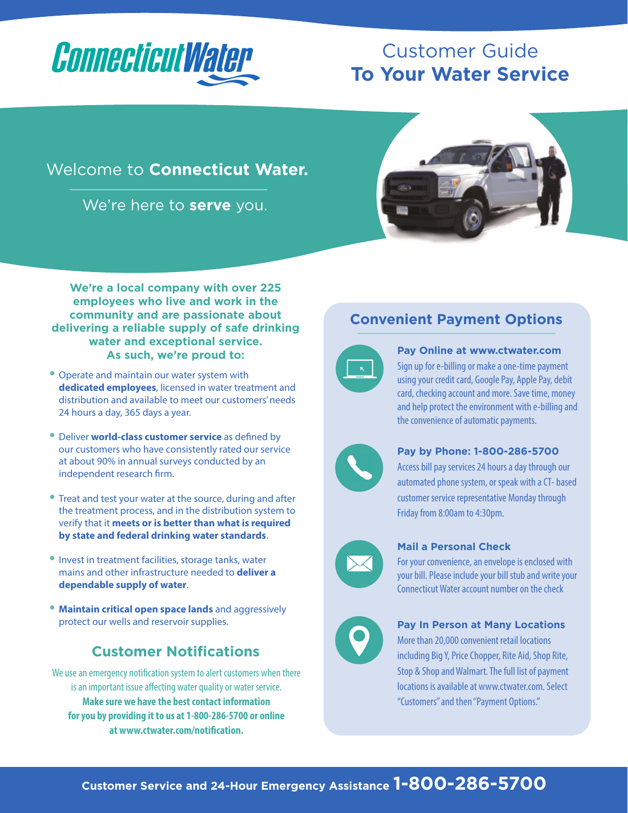

# Customer Guide **To Your Water Service**

## Welcome to **Connecticut Water.**

We're here to **serve** you.



**We're a local company with over 225 employees who live and work in the community and are passionate about delivering a reliable supply of safe drinking water and exceptional service. As such, we're proud to:** 

- **•** Operate and maintain our water system with **dedicated employees**, licensed in water treatment and distribution and available to meet our customers' needs 24 hours a day, 365 days a year.
- **•** Deliver **world-class customer service** as defined by our customers who have consistently rated our service at about 90% in annual surveys conducted by an independent research firm.
- **•** Treat and test your water at the source, during and after the treatment process, and in the distribution system to verify that it **meets or is better than what is required by state and federal drinking water standards**.
- **•** Invest in treatment facilities, storage tanks, water mains and other infrastructure needed to **deliver a dependable supply of water**.
- **• Maintain critical open space lands** and aggressively protect our wells and reservoir supplies.

### **Customer Notifications**

We use an emergency notification system to alert customers when there is an important issue affecting water quality or water service. **Make sure we have the best contact information for you by providing it to us at 1-800-286-5700 or online at www.ctwater.com/notification.**

## **Convenient Payment Options**



#### **Pay Online at www.ctwater.com**

Sign up for e-billing or make a one-time payment using your credit card, Google Pay, Apple Pay, debit card, checking account and more. Save time, money and help protect the environment with e-billing and the convenience of automatic payments.



#### **Pay by Phone: 1-800-286-5700**

Access bill pay services 24 hours a day through our automated phone system, or speak with a CT- based customer service representative Monday through Friday from 8:00am to 4:30pm.



#### **Mail a Personal Check**

For your convenience, an envelope is enclosed with your bill. Please include your bill stub and write your Connecticut Water account number on the check



#### **Pay In Person at Many Locations**

More than 20,000 convenient retail locations including Big Y, Price Chopper, Rite Aid, Shop Rite, Stop & Shop and Walmart. The full list of payment locations is available at www.ctwater.com. Select "Customers" and then "Payment Options."

# **Customer Service and 24-Hour Emergency Assistance 1-800-286-5700**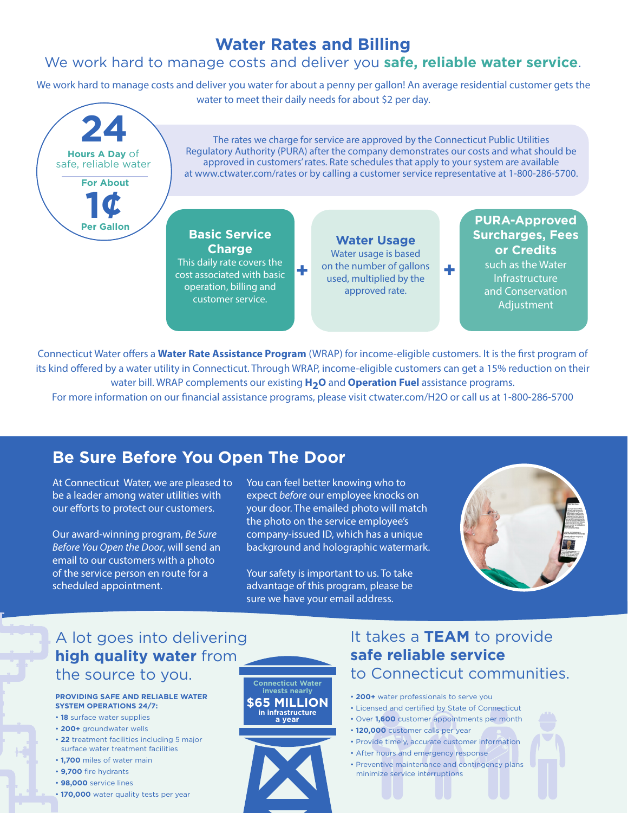#### We work hard to manage costs and deliver you **safe, reliable water service**.

We work hard to manage costs and deliver you water for about a penny per gallon! An average residential customer gets the water to meet their daily needs for about \$2 per day.



Connecticut Water offers a **Water Rate Assistance Program** (WRAP) for income-eligible customers. It is the first program of its kind offered by a water utility in Connecticut. Through WRAP, income-eligible customers can get a 15% reduction on their water bill. WRAP complements our existing **H2O** and **Operation Fuel** assistance programs.

For more information on our financial assistance programs, please visit ctwater.com/H2O or call us at 1-800-286-5700

## **Be Sure Before You Open The Door**

At Connecticut Water, we are pleased to be a leader among water utilities with our efforts to protect our customers.

Our award-winning program, *Be Sure Before You Open the Door*, will send an email to our customers with a photo of the service person en route for a scheduled appointment.

You can feel better knowing who to expect *before* our employee knocks on your door. The emailed photo will match the photo on the service employee's company-issued ID, which has a unique background and holographic watermark.

Your safety is important to us. To take advantage of this program, please be sure we have your email address.



## A lot goes into delivering **high quality water** from the source to you.

#### **PROVIDING SAFE AND RELIABLE WATER SYSTEM OPERATIONS 24/7:**

- **18** surface water supplies
- **200+** groundwater wells
- **22** treatment facilities including 5 major surface water treatment facilities
- **1,700** miles of water main
- **9,700** fire hydrants
- **98,000** service lines
- **170,000** water quality tests per year

**Connecticut Water invests nearly \$65 MILLION in infrastructure**  a year



## It takes a **TEAM** to provide **safe reliable service** to Connecticut communities.

- **200+** water professionals to serve you
- Licensed and certified by State of Connecticut
- Over **1,600** customer appointments per month
- **120,000** customer calls per year
- Provide timely, accurate customer information
- After hours and emergency response
- Preventive maintenance and contingency plans minimize service interruptions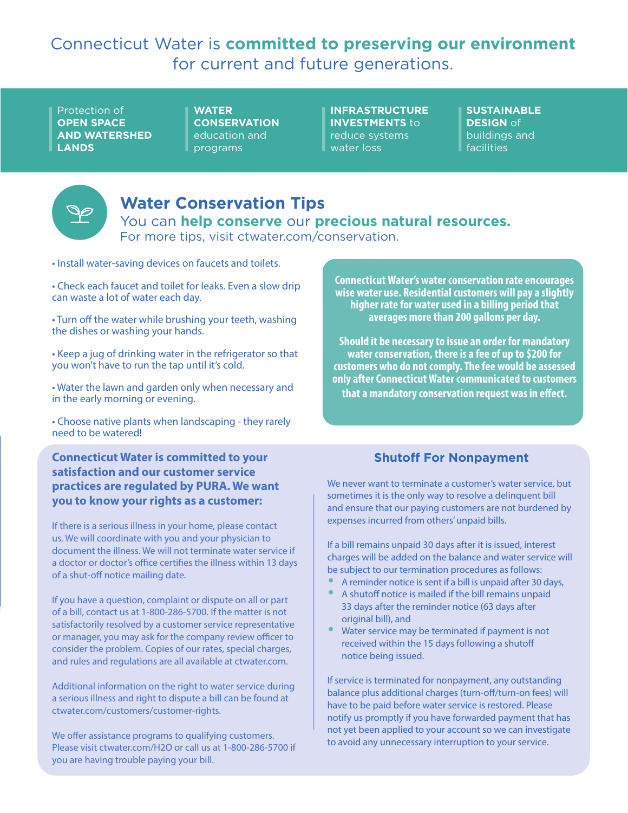## Connecticut Water is **committed to preserving our environment**  for current and future generations.

Protection of **OPEN SPACE AND WATERSHED LANDS**

**WATER CONSERVATION** education and programs

**INFRASTRUCTURE INVESTMENTS** to reduce systems water loss

**SUSTAINABLE DESIGN** of buildings and facilities



## **Water Conservation Tips**

You can **help conserve** our **precious natural resources.** For more tips, visit ctwater.com/conservation.

- Install water-saving devices on faucets and toilets.
- Check each faucet and toilet for leaks. Even a slow drip can waste a lot of water each day.

• Turn off the water while brushing your teeth, washing the dishes or washing your hands.

• Keep a jug of drinking water in the refrigerator so that you won't have to run the tap until it's cold.

• Water the lawn and garden only when necessary and in the early morning or evening.

• Choose native plants when landscaping - they rarely need to be watered!

**Connecticut Water is committed to your satisfaction and our customer service practices are regulated by PURA. We want you to know your rights as a customer:** 

If there is a serious illness in your home, please contact us. We will coordinate with you and your physician to document the illness. We will not terminate water service if a doctor or doctor's office certifies the illness within 13 days of a shut-off notice mailing date.

If you have a question, complaint or dispute on all or part of a bill, contact us at 1-800-286-5700. If the matter is not satisfactorily resolved by a customer service representative or manager, you may ask for the company review officer to consider the problem. Copies of our rates, special charges, and rules and regulations are all available at ctwater.com.

Additional information on the right to water service during a serious illness and right to dispute a bill can be found at ctwater.com/customers/customer-rights.

We offer assistance programs to qualifying customers. Please visit ctwater.com/H2O or call us at 1-800-286-5700 if you are having trouble paying your bill.

**Connecticut Water's water conservation rate encourages wise water use. Residential customers will pay a slightly higher rate for water used in a billing period that averages more than 200 gallons per day.**

**Should it be necessary to issue an order for mandatory water conservation, there is a fee of up to \$200 for customers who do not comply. The fee would be assessed only after Connecticut Water communicated to customers that a mandatory conservation request was in effect.**

#### **Shutoff For Nonpayment**

We never want to terminate a customer's water service, but sometimes it is the only way to resolve a delinquent bill and ensure that our paying customers are not burdened by expenses incurred from others' unpaid bills.

If a bill remains unpaid 30 days after it is issued, interest charges will be added on the balance and water service will be subject to our termination procedures as follows:

- **•** A reminder notice is sent if a bill is unpaid after 30 days,
- **•** A shutoff notice is mailed if the bill remains unpaid 33 days after the reminder notice (63 days after original bill), and
- **•** Water service may be terminated if payment is not received within the 15 days following a shutoff notice being issued.

If service is terminated for nonpayment, any outstanding balance plus additional charges (turn-off/turn-on fees) will have to be paid before water service is restored. Please notify us promptly if you have forwarded payment that has not yet been applied to your account so we can investigate to avoid any unnecessary interruption to your service.